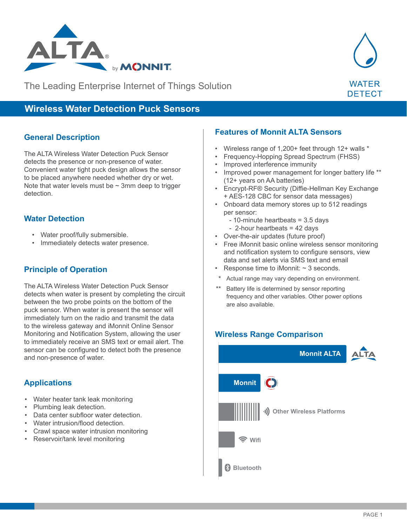

The Leading Enterprise Internet of Things Solution



# **Wireless Water Detection Puck Sensors**

### **General Description**

The ALTA Wireless Water Detection Puck Sensor detects the presence or non-presence of water. Convenient water tight puck design allows the sensor to be placed anywhere needed whether dry or wet. Note that water levels must be  $\sim$  3mm deep to trigger detection.

### **Water Detection**

- Water proof/fully submersible.
- Immediately detects water presence.

## **Principle of Operation**

The ALTA Wireless Water Detection Puck Sensor detects when water is present by completing the circuit between the two probe points on the bottom of the puck sensor. When water is present the sensor will immediately turn on the radio and transmit the data to the wireless gateway and iMonnit Online Sensor Monitoring and Notification System, allowing the user to immediately receive an SMS text or email alert. The sensor can be configured to detect both the presence and non-presence of water.

# **Applications**

- Water heater tank leak monitoring
- Plumbing leak detection.
- Data center subfloor water detection.
- Water intrusion/flood detection.
- Crawl space water intrusion monitoring
- Reservoir/tank level monitoring

#### **Features of Monnit ALTA Sensors**

- Wireless range of 1,200+ feet through 12+ walls \*
- Frequency-Hopping Spread Spectrum (FHSS)
- Improved interference immunity
- Improved power management for longer battery life \*\* (12+ years on AA batteries)
- Encrypt-RF® Security (Diffie-Hellman Key Exchange + AES-128 CBC for sensor data messages)
- Onboard data memory stores up to 512 readings per sensor:
	- 10-minute heartbeats = 3.5 days
	- 2-hour heartbeats = 42 days
- Over-the-air updates (future proof)
- Free iMonnit basic online wireless sensor monitoring and notification system to configure sensors, view data and set alerts via SMS text and email
- Response time to iMonnit:  $\sim$  3 seconds.
	- Actual range may vary depending on environment.
- $\overline{a}$ Battery life is determined by sensor reporting frequency and other variables. Other power options are also available.

#### **Wireless Range Comparison Wireless Range Comparison**

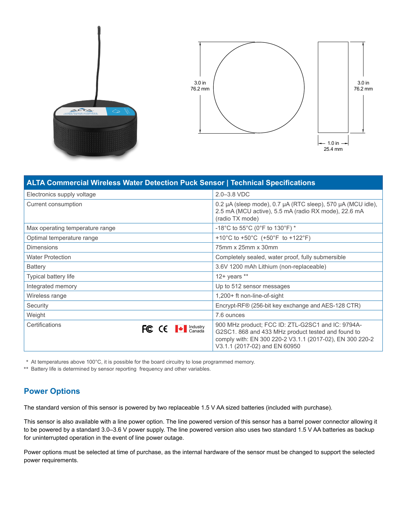



| <b>ALTA Commercial Wireless Water Detection Puck Sensor   Technical Specifications</b>                                                                                                                                                                                                                                                                                                                                                                                                               |                                                                                                                                                                                                      |
|------------------------------------------------------------------------------------------------------------------------------------------------------------------------------------------------------------------------------------------------------------------------------------------------------------------------------------------------------------------------------------------------------------------------------------------------------------------------------------------------------|------------------------------------------------------------------------------------------------------------------------------------------------------------------------------------------------------|
| Electronics supply voltage                                                                                                                                                                                                                                                                                                                                                                                                                                                                           | $2.0 - 3.8$ VDC                                                                                                                                                                                      |
| Current consumption                                                                                                                                                                                                                                                                                                                                                                                                                                                                                  | 0.2 µA (sleep mode), 0.7 µA (RTC sleep), 570 µA (MCU idle),<br>2.5 mA (MCU active), 5.5 mA (radio RX mode), 22.6 mA<br>(radio TX mode)                                                               |
| Max operating temperature range                                                                                                                                                                                                                                                                                                                                                                                                                                                                      | -18°C to 55°C (0°F to 130°F) *                                                                                                                                                                       |
| Optimal temperature range                                                                                                                                                                                                                                                                                                                                                                                                                                                                            | +10°C to +50°C (+50°F to +122°F)                                                                                                                                                                     |
| <b>Dimensions</b>                                                                                                                                                                                                                                                                                                                                                                                                                                                                                    | 75mm x 25mm x 30mm                                                                                                                                                                                   |
| <b>Water Protection</b>                                                                                                                                                                                                                                                                                                                                                                                                                                                                              | Completely sealed, water proof, fully submersible                                                                                                                                                    |
| Battery                                                                                                                                                                                                                                                                                                                                                                                                                                                                                              | 3.6V 1200 mAh Lithium (non-replaceable)                                                                                                                                                              |
| Typical battery life                                                                                                                                                                                                                                                                                                                                                                                                                                                                                 | 12+ years $**$                                                                                                                                                                                       |
| Integrated memory                                                                                                                                                                                                                                                                                                                                                                                                                                                                                    | Up to 512 sensor messages                                                                                                                                                                            |
| Wireless range                                                                                                                                                                                                                                                                                                                                                                                                                                                                                       | 1,200+ ft non-line-of-sight                                                                                                                                                                          |
| Security                                                                                                                                                                                                                                                                                                                                                                                                                                                                                             | Encrypt-RF® (256-bit key exchange and AES-128 CTR)                                                                                                                                                   |
| Weight                                                                                                                                                                                                                                                                                                                                                                                                                                                                                               | 7.6 ounces                                                                                                                                                                                           |
| Certifications<br>FC $\mathsf{CE}$ $\blacksquare$ $\blacksquare$ $\blacksquare$ $\blacksquare$ $\blacksquare$ $\blacksquare$ $\blacksquare$ $\blacksquare$ $\blacksquare$ $\blacksquare$ $\blacksquare$ $\blacksquare$ $\blacksquare$ $\blacksquare$ $\blacksquare$ $\blacksquare$ $\blacksquare$ $\blacksquare$ $\blacksquare$ $\blacksquare$ $\blacksquare$ $\blacksquare$ $\blacksquare$ $\blacksquare$ $\blacksquare$ $\blacksquare$ $\blacksquare$ $\blacksquare$ $\blacksquare$ $\blacksquare$ | 900 MHz product; FCC ID: ZTL-G2SC1 and IC: 9794A-<br>G2SC1. 868 and 433 MHz product tested and found to<br>comply with: EN 300 220-2 V3.1.1 (2017-02), EN 300 220-2<br>V3.1.1 (2017-02) and EN 60950 |

\* At temperatures above 100°C, it is possible for the board circuitry to lose programmed memory.

\*\* Battery life is determined by sensor reporting frequency and other variables.

## **Power Options**

The standard version of this sensor is powered by two replaceable 1.5 V AA sized batteries (included with purchase).

This sensor is also available with a line power option. The line powered version of this sensor has a barrel power connector allowing it to be powered by a standard 3.0–3.6 V power supply. The line powered version also uses two standard 1.5 V AA batteries as backup for uninterrupted operation in the event of line power outage.

Power options must be selected at time of purchase, as the internal hardware of the sensor must be changed to support the selected power requirements.